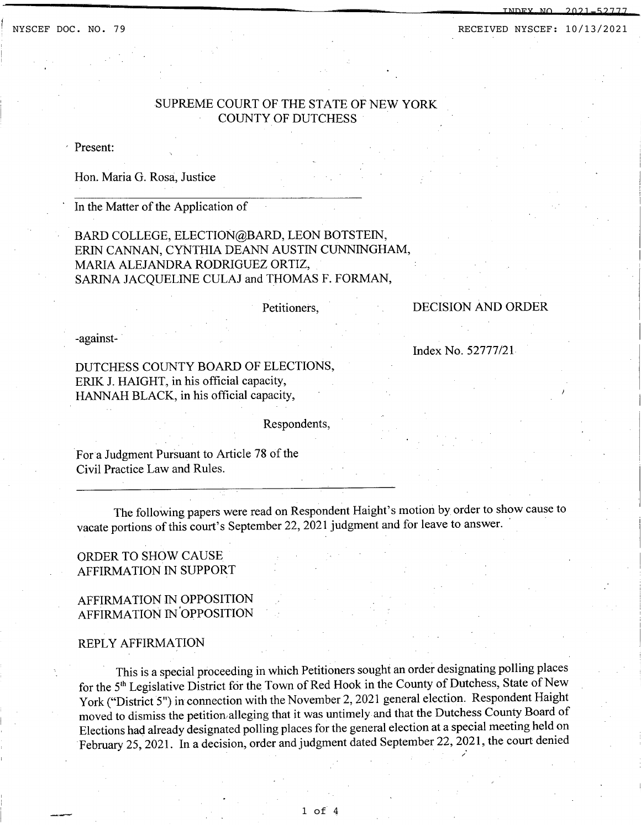INDEX NO. 2021-52777

# SUPREME COURT OF THE STATE OF NEW YORK COUNTY OF DUTCHESS

, Present:

Hon. Maria G. Rosa, Justice

In the Matter of the Application of

BARD COLLEGE, ELECTION@BARD, LEON BOTSTEIN, ERIN CANNAN, CYNTHIA DEANN AUSTIN CUNNINGHAM, MARlA ALEJANDRA RODRIGUEZ ORTIZ, SARINA JACQUELINE CULAJ and THOMAS F. FORMAN,

Petitioners,

#### DECISION AND ORDER

-against-

Index No. 52777/21

DUTCHESS COUNTY BOARD OF ELECTIONS, ERlK J. HAIGHT, in his official capacity, HANNAH BLACK, in his official capacity,

Respondents,

Fora Judgment Pursuant to Article 78 of the Civil Practice Law and Rules.

The following papers were read on Respondent Haight's motion by order to show cause to vacate portions of this court's September 22, 2021 judgment and for leave to answer.

## ORDER TO SHOW CAUSE AFFIRMATION IN SUPPORT

## AFFIRMATION IN OPPOSITION AFFIRMATION IN 'OPPOSITION

#### REPLY AFFIRMATION

This is a special proceeding in which Petitioners sought an order designating polling places for the 5th Legislative District for the Town of Red Hook in the County of Dutchess, State of New York ("District 5") in connection with the November 2,2021 general election. Respondent Haight moved to dismiss the petition alleging that it was untimely and that the Dutchess County Board of Elections had already designated polling places for the general election at a special meeting held on February 25, 2021. In a decision, order and judgment dated September 22, 2021, the court denied /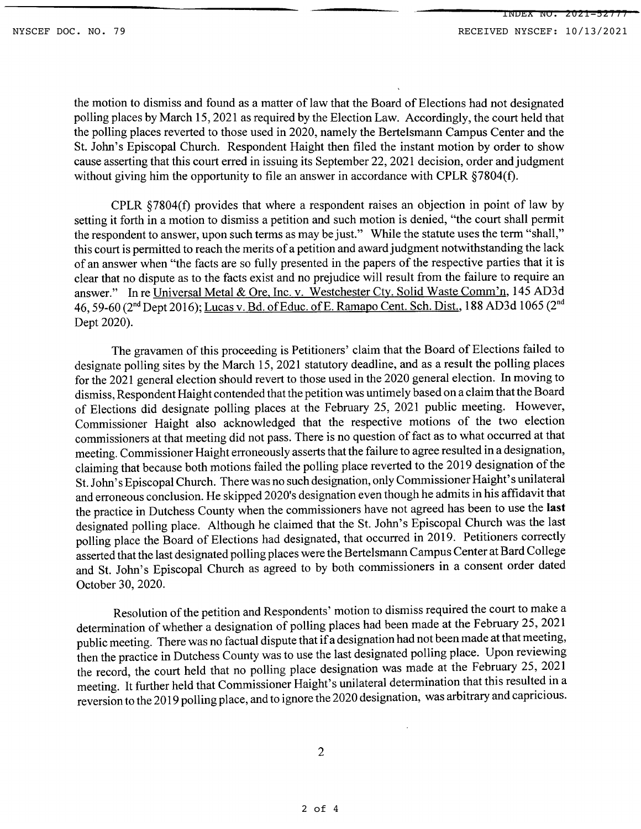the motion to dismiss and found as a matter of law that the Board of Elections had not designated polling places by March 15,2021 as required by the Election Law. Accordingly, the court held that the polling places reverted to those used in 2020, namely the Bertelsmann Campus Center and the St. John's Episcopal Church. Respondent Haight then filed the instant motion by order to show cause asserting that this court erred in issuing its September 22, 2021 decision, order and judgment without giving him the opportunity to file an answer in accordance with CPLR  $\S 7804(f)$ .

CPLR  $$7804(f)$  provides that where a respondent raises an objection in point of law by setting it forth in a motion to dismiss a petition and such motion is denied, "the court shall permit the respondent to answer, upon such terms as may be just." While the statute uses the term "shall," this court is permitted to reach the merits of a petition and award judgment notwithstanding the lack of an answer when "the facts are so fully presented in the papers of the respective parties that it is clear that no dispute as to the facts exist and no prejudice will result from the failure to require an answer." In re Universal Metal & Ore, Inc. v. Westchester Cty. Solid Waste Comm'n, 145 AD3d 46, 59-60 (2<sup>nd</sup> Dept 2016); Lucas v. Bd. of Educ. of E. Ramapo Cent. Sch. Dist., 188 AD3d 1065 (2<sup>nd</sup> Dept 2020).

The gravamen of this proceeding is Petitioners' claim that the Board of Elections failed to designate polling sites by the March 15,2021 statutory deadline, and as a result the polling places for the 2021 general election should revert to those used in the 2020 general election. In moving to dismiss, Respondent Haight contended that the petition was untimely based on a claim that the Board of Elections did designate polling places at the February 25, 2021 public meeting. However, Commissioner Haight also acknowledged that the respective motions of the two election commissioners at that meeting did not pass. There is no question of fact as to what occurred at that meeting. Commissioner Haight erroneously asserts that the failure to agree resulted in a designation, claiming that because both motions failed the polling place reverted to the 2019 designation of the St. John's Episcopal Church. There was no such designation, only Commissioner Haight's unilateral and erroneous conclusion. He skipped 2020's designation even though he admits in his affidavit that the practice in Dutchess County when the commissioners have not agreed has been to use the **last** designated polling place. Although he claimed that the St. John's Episcopal Church was the last polling place the Board of Elections had designated, that occurred in 2019. Petitioners correctly asserted that the last designated polling places were the Bertelsmann Campus Center at Bard College and St. John's Episcopal Church as agreed to by both commissioners in a consent order dated October 30, 2020.

Resolution of the petition and Respondents' motion to dismiss required the court to make a determination of whether a designation of polling places had been made at the February 25, 2021 public meeting. There was no factual dispute that if a designation had not been made at that meeting, then the practice in Dutchess County was to use the last designated polling place. Upon reviewing the record, the court held that no polling place designation was made at the February 25, 2021 meeting. It further held that Commissioner Haight's unilateral determination that this resulted in a reversion to the 2019 polling place, and to ignore the 2020 designation, was arbitrary and capricious.

2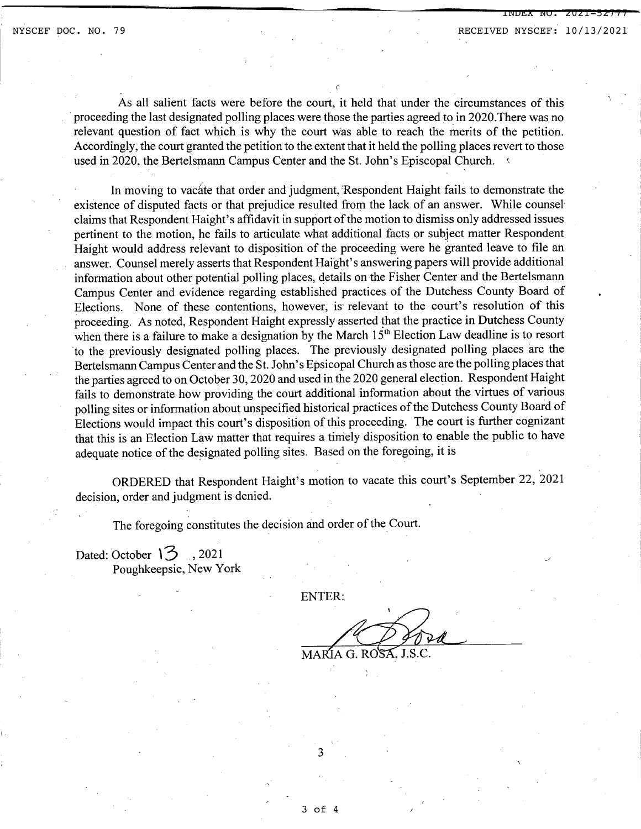INDEX NO. 2021-52777

As all salient facts were before the court, it held that under the circumstances of this .proceeding the last designated polling places were those the parties agreed to in 2020.There was no relevant question of fact which is why the court was able to reach the merits of the petition. Accordingly, the court granted the petition to the extent that it held the polling places revert to those used in 2020, the Bertelsmann Campus Center and the St. John's Episcopal Church.

In moving to vacate that order and judgment, Respondent Haight fails to demonstrate the existence of disputed facts or that prejudice resulted from the lack of an answer. While counsel claims that Respondent Haight's affidavit in support of the motion to dismiss only addressed issues pertinent to the motion, he fails to articulate what additional facts or subject matter Respondent Haight would address relevant to disposition of the proceeding were he granted leave to file an answer. Counsel merely asserts that Respondent Haight's answering papers will provide additional information about other potential polling places, details on the Fisher Center and the Bertelsmann Campus Center and evidence regarding established practices of the Dutchess County Board of Elections. None of these contentions, however, is relevant to the court's resolution of this proceeding. As noted, Respondent Haight expressly asserted that the practice in Dutchess County when there is a failure to make a designation by the March  $15<sup>th</sup>$  Election Law deadline is to resort 'to the previously designated polling places. The previously designated polling places are the Bertelsmann Campus Center and the St. John's Epsicopal Church as those are the polling places that the parties agreed to on October 30,2020 and used in the 2020 general election. Respondent Haight fails to demonstrate how providing the court additional information about the virtues of various polling sites or information about unspecified historical practices of the Dutchess County Board of Elections would impact this court's disposition of this proceeding. The court is further cognizant that this is an Election Law matter that requires a timely disposition to enable the public to have adequate notice of the designated polling sites. Based on the foregoing, it is

ORDERED that Respondent Haight's motion to vacate this court's September 22, 2021 decision, order and judgment is denied.

The foregoing constitutes the decision and order of the Court.

Dated: October  $\overline{3}$ , 2021 Poughkeepsie, New York

ENTER:

MARIA G. ROSA, J.S.C.

3

3 of 4